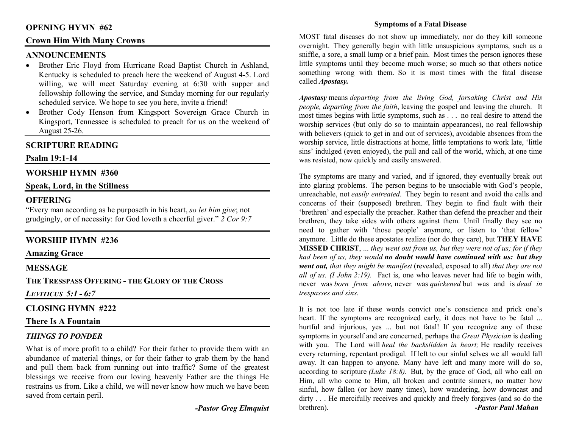# **OPENING HYMN #62**

# **Crown Him With Many Crowns**

# **ANNOUNCEMENTS**

- Brother Eric Floyd from Hurricane Road Baptist Church in Ashland, Kentucky is scheduled to preach here the weekend of August 4-5. Lord willing, we will meet Saturday evening at 6:30 with supper and fellowship following the service, and Sunday morning for our regularly scheduled service. We hope to see you here, invite a friend!
- Brother Cody Henson from Kingsport Sovereign Grace Church in •Kingsport, Tennessee is scheduled to preach for us on the weekend of August 25-26.

# **SCRIPTURE READING**

#### **Psalm 19:1-14**

# **WORSHIP HYMN #360**

# **Speak, Lord, in the Stillness**

# **OFFERING**

 "Every man according as he purposeth in his heart, *so let him give*; not grudgingly, or of necessity: for God loveth a cheerful giver." *2 Cor 9:7*

# **WORSHIP HYMN #236**

#### **Amazing Grace**

# **MESSAGE**

**THE TRESSPASS OFFERING - THE GLORY OF THE CROSS** 

*LEVITICUS 5:1 - 6:7* 

# **CLOSING HYMN #222**

# **There Is A Fountain**

# *THINGS TO PONDER*

What is of more profit to a child? For their father to provide them with an abundance of material things, or for their father to grab them by the hand and pull them back from running out into traffic? Some of the greatest blessings we receive from our loving heavenly Father are the things He restrains us from. Like a child, we will never know how much we have been saved from certain peril.

*-Pastor Greg Elmquist* 

#### **Symptoms of a Fatal Disease**

MOST fatal diseases do not show up immediately, nor do they kill someone overnight. They generally begin with little unsuspicious symptoms, such as a sniffle, a sore, a small lump or a brief pain. Most times the person ignores these little symptoms until they become much worse; so much so that others notice something wrong with them. So it is most times with the fatal disease called *Apostasy.* 

*Apostasy* means *departing from the living God, forsaking Christ and His people, departing from the faith*, leaving the gospel and leaving the church. It most times begins with little symptoms, such as . . . no real desire to attend the worship services (but only do so to maintain appearances), no real fellowship with believers (quick to get in and out of services), avoidable absences from the worship service, little distractions at home, little temptations to work late, 'little sins' indulged (even enjoyed), the pull and call of the world, which, at one time was resisted, now quickly and easily answered.

The symptoms are many and varied, and if ignored, they eventually break out into glaring problems. The person begins to be unsociable with God's people, unreachable, not *easily entreated*. They begin to resent and avoid the calls and concerns of their (supposed) brethren. They begin to find fault with their 'brethren' and especially the preacher. Rather than defend the preacher and their brethren, they take sides with others against them. Until finally they see no need to gather with 'those people' anymore, or listen to 'that fellow' anymore. Little do these apostates realize (nor do they care), but **THEY HAVE MISSED CHRIST**, ... *they went out from us, but they were not of us; for if they had been of us, they would no doubt would have continued with us: but they went out, that they might be manifest* (revealed, exposed to all) *that they are not all of us. (I John 2:19).* Fact is, one who leaves never had life to begin with, never was *born from above,* never was *quickened* but was and is *dead in trespasses and sins.*

It is not too late if these words convict one's conscience and prick one's heart. If the symptoms are recognized early, it does not have to be fatal ... hurtful and injurious, yes ... but not fatal! If you recognize any of these symptoms in yourself and are concerned, perhaps the *Great Physician* is dealing with you. The Lord will *heal the backslidden in heart;* He readily receives every returning, repentant prodigal. If left to our sinful selves we all would fall away. It can happen to anyone. Many have left and many more will do so, according to scripture *(Luke 18:8).* But, by the grace of God, all who call on Him, all who come to Him, all broken and contrite sinners, no matter how sinful, how fallen (or how many times), how wandering, how downcast and dirty . . . He mercifully receives and quickly and freely forgives (and so do the brethren). *Paul Mahan*